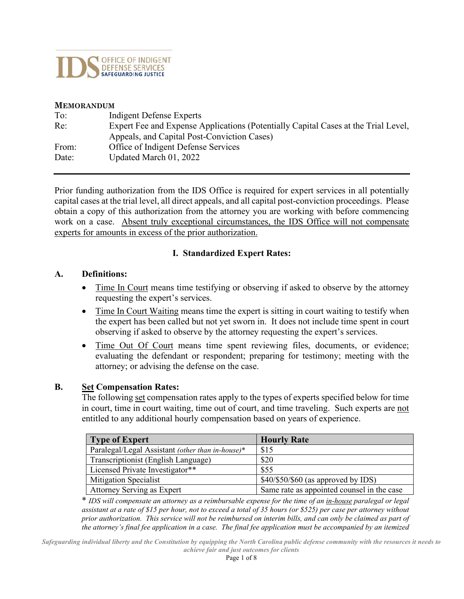

#### **MEMORANDUM**

| To:   | Indigent Defense Experts                                                           |
|-------|------------------------------------------------------------------------------------|
| Re:   | Expert Fee and Expense Applications (Potentially Capital Cases at the Trial Level, |
|       | Appeals, and Capital Post-Conviction Cases)                                        |
| From: | Office of Indigent Defense Services                                                |
| Date: | Updated March 01, 2022                                                             |

Prior funding authorization from the IDS Office is required for expert services in all potentially capital cases at the trial level, all direct appeals, and all capital post-conviction proceedings. Please obtain a copy of this authorization from the attorney you are working with before commencing work on a case. Absent truly exceptional circumstances, the IDS Office will not compensate experts for amounts in excess of the prior authorization.

#### **I. Standardized Expert Rates:**

#### **A. Definitions:**

- Time In Court means time testifying or observing if asked to observe by the attorney requesting the expert's services.
- Time In Court Waiting means time the expert is sitting in court waiting to testify when the expert has been called but not yet sworn in. It does not include time spent in court observing if asked to observe by the attorney requesting the expert's services.
- Time Out Of Court means time spent reviewing files, documents, or evidence; evaluating the defendant or respondent; preparing for testimony; meeting with the attorney; or advising the defense on the case.

#### **B. Set Compensation Rates:**

The following set compensation rates apply to the types of experts specified below for time in court, time in court waiting, time out of court, and time traveling. Such experts are not entitled to any additional hourly compensation based on years of experience.

| <b>Type of Expert</b>                            | <b>Hourly Rate</b>                         |
|--------------------------------------------------|--------------------------------------------|
| Paralegal/Legal Assistant (other than in-house)* | \$15                                       |
| Transcriptionist (English Language)              | \$20                                       |
| Licensed Private Investigator**                  | \$55                                       |
| <b>Mitigation Specialist</b>                     | $$40/\$50/\$60$ (as approved by IDS)       |
| Attorney Serving as Expert                       | Same rate as appointed counsel in the case |

\* *IDS will compensate an attorney as a reimbursable expense for the time of an in-house paralegal or legal assistant at a rate of \$15 per hour, not to exceed a total of 35 hours (or \$525) per case per attorney without prior authorization. This service will not be reimbursed on interim bills, and can only be claimed as part of the attorney's final fee application in a case. The final fee application must be accompanied by an itemized*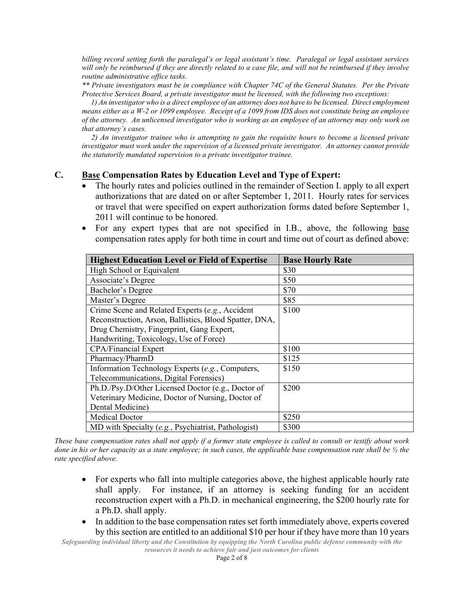*billing record setting forth the paralegal's or legal assistant's time. Paralegal or legal assistant services will only be reimbursed if they are directly related to a case file, and will not be reimbursed if they involve routine administrative office tasks.*

*\*\* Private investigators must be in compliance with Chapter 74C of the General Statutes. Per the Private Protective Services Board, a private investigator must be licensed, with the following two exceptions:*

*1) An investigator who is a direct employee of an attorney does not have to be licensed. Direct employment means either as a W-2 or 1099 employee. Receipt of a 1099 from IDS does not constitute being an employee of the attorney. An unlicensed investigator who is working as an employee of an attorney may only work on that attorney's cases.* 

*2) An investigator trainee who is attempting to gain the requisite hours to become a licensed private investigator must work under the supervision of a licensed private investigator. An attorney cannot provide the statutorily mandated supervision to a private investigator trainee.*

#### **C. Base Compensation Rates by Education Level and Type of Expert:**

- The hourly rates and policies outlined in the remainder of Section I. apply to all expert authorizations that are dated on or after September 1, 2011. Hourly rates for services or travel that were specified on expert authorization forms dated before September 1, 2011 will continue to be honored.
- For any expert types that are not specified in I.B., above, the following base compensation rates apply for both time in court and time out of court as defined above:

| <b>Highest Education Level or Field of Expertise</b>   | <b>Base Hourly Rate</b> |
|--------------------------------------------------------|-------------------------|
| High School or Equivalent                              | \$30                    |
| Associate's Degree                                     | \$50                    |
| Bachelor's Degree                                      | \$70                    |
| Master's Degree                                        | \$85                    |
| Crime Scene and Related Experts (e.g., Accident        | \$100                   |
| Reconstruction, Arson, Ballistics, Blood Spatter, DNA, |                         |
| Drug Chemistry, Fingerprint, Gang Expert,              |                         |
| Handwriting, Toxicology, Use of Force)                 |                         |
| <b>CPA/Financial Expert</b>                            | \$100                   |
| Pharmacy/PharmD                                        | \$125                   |
| Information Technology Experts (e.g., Computers,       | \$150                   |
| Telecommunications, Digital Forensics)                 |                         |
| Ph.D./Psy.D/Other Licensed Doctor (e.g., Doctor of     | \$200                   |
| Veterinary Medicine, Doctor of Nursing, Doctor of      |                         |
| Dental Medicine)                                       |                         |
| <b>Medical Doctor</b>                                  | \$250                   |
| MD with Specialty (e.g., Psychiatrist, Pathologist)    | \$300                   |

*These base compensation rates shall not apply if a former state employee is called to consult or testify about work done in his or her capacity as a state employee; in such cases, the applicable base compensation rate shall be ½ the rate specified above.*

- For experts who fall into multiple categories above, the highest applicable hourly rate shall apply. For instance, if an attorney is seeking funding for an accident reconstruction expert with a Ph.D. in mechanical engineering, the \$200 hourly rate for a Ph.D. shall apply.
- In addition to the base compensation rates set forth immediately above, experts covered by this section are entitled to an additional \$10 per hour if they have more than 10 years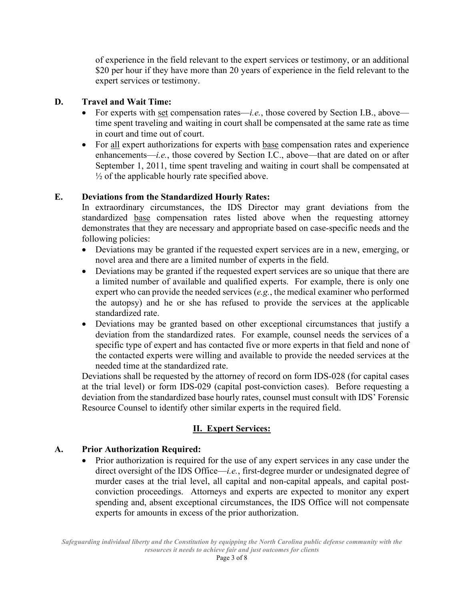of experience in the field relevant to the expert services or testimony, or an additional \$20 per hour if they have more than 20 years of experience in the field relevant to the expert services or testimony.

#### **D. Travel and Wait Time:**

- For experts with set compensation rates—*i.e.*, those covered by Section I.B., above time spent traveling and waiting in court shall be compensated at the same rate as time in court and time out of court.
- For all expert authorizations for experts with base compensation rates and experience enhancements—*i.e.*, those covered by Section I.C., above—that are dated on or after September 1, 2011, time spent traveling and waiting in court shall be compensated at  $\frac{1}{2}$  of the applicable hourly rate specified above.

## **E. Deviations from the Standardized Hourly Rates:**

In extraordinary circumstances, the IDS Director may grant deviations from the standardized base compensation rates listed above when the requesting attorney demonstrates that they are necessary and appropriate based on case-specific needs and the following policies:

- Deviations may be granted if the requested expert services are in a new, emerging, or novel area and there are a limited number of experts in the field.
- Deviations may be granted if the requested expert services are so unique that there are a limited number of available and qualified experts. For example, there is only one expert who can provide the needed services (*e.g.*, the medical examiner who performed the autopsy) and he or she has refused to provide the services at the applicable standardized rate.
- Deviations may be granted based on other exceptional circumstances that justify a deviation from the standardized rates. For example, counsel needs the services of a specific type of expert and has contacted five or more experts in that field and none of the contacted experts were willing and available to provide the needed services at the needed time at the standardized rate.

Deviations shall be requested by the attorney of record on form IDS-028 (for capital cases at the trial level) or form IDS-029 (capital post-conviction cases). Before requesting a deviation from the standardized base hourly rates, counsel must consult with IDS' Forensic Resource Counsel to identify other similar experts in the required field.

## **II. Expert Services:**

## **A. Prior Authorization Required:**

• Prior authorization is required for the use of any expert services in any case under the direct oversight of the IDS Office—*i.e.*, first-degree murder or undesignated degree of murder cases at the trial level, all capital and non-capital appeals, and capital postconviction proceedings. Attorneys and experts are expected to monitor any expert spending and, absent exceptional circumstances, the IDS Office will not compensate experts for amounts in excess of the prior authorization.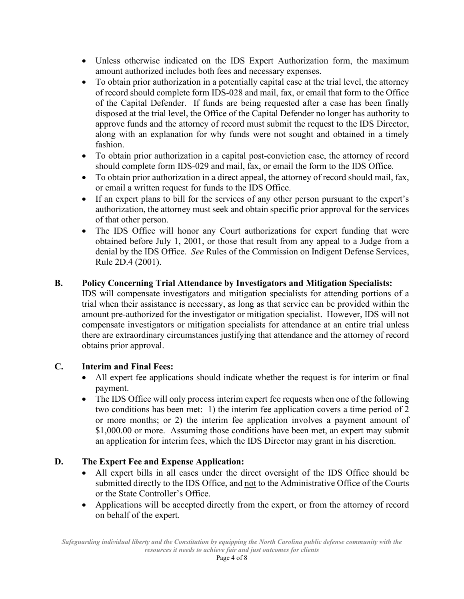- Unless otherwise indicated on the IDS Expert Authorization form, the maximum amount authorized includes both fees and necessary expenses.
- To obtain prior authorization in a potentially capital case at the trial level, the attorney of record should complete form IDS-028 and mail, fax, or email that form to the Office of the Capital Defender. If funds are being requested after a case has been finally disposed at the trial level, the Office of the Capital Defender no longer has authority to approve funds and the attorney of record must submit the request to the IDS Director, along with an explanation for why funds were not sought and obtained in a timely fashion.
- To obtain prior authorization in a capital post-conviction case, the attorney of record should complete form IDS-029 and mail, fax, or email the form to the IDS Office.
- To obtain prior authorization in a direct appeal, the attorney of record should mail, fax, or email a written request for funds to the IDS Office.
- If an expert plans to bill for the services of any other person pursuant to the expert's authorization, the attorney must seek and obtain specific prior approval for the services of that other person.
- The IDS Office will honor any Court authorizations for expert funding that were obtained before July 1, 2001, or those that result from any appeal to a Judge from a denial by the IDS Office. *See* Rules of the Commission on Indigent Defense Services, Rule 2D.4 (2001).

## **B. Policy Concerning Trial Attendance by Investigators and Mitigation Specialists:**

IDS will compensate investigators and mitigation specialists for attending portions of a trial when their assistance is necessary, as long as that service can be provided within the amount pre-authorized for the investigator or mitigation specialist. However, IDS will not compensate investigators or mitigation specialists for attendance at an entire trial unless there are extraordinary circumstances justifying that attendance and the attorney of record obtains prior approval.

#### **C. Interim and Final Fees:**

- All expert fee applications should indicate whether the request is for interim or final payment.
- The IDS Office will only process interim expert fee requests when one of the following two conditions has been met: 1) the interim fee application covers a time period of 2 or more months; or 2) the interim fee application involves a payment amount of \$1,000.00 or more.Assuming those conditions have been met, an expert may submit an application for interim fees, which the IDS Director may grant in his discretion.

#### **D. The Expert Fee and Expense Application:**

- All expert bills in all cases under the direct oversight of the IDS Office should be submitted directly to the IDS Office, and not to the Administrative Office of the Courts or the State Controller's Office.
- Applications will be accepted directly from the expert, or from the attorney of record on behalf of the expert.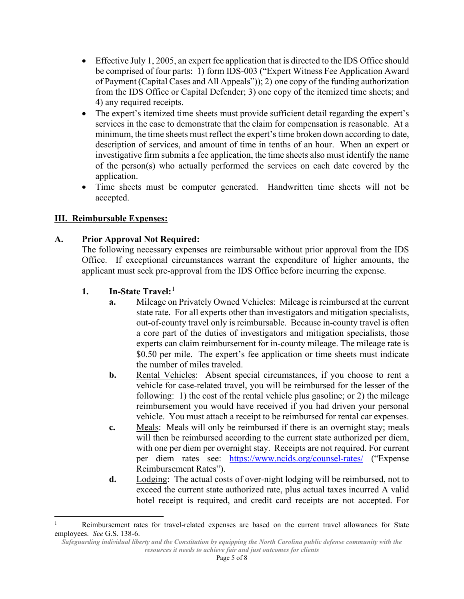- Effective July 1, 2005, an expert fee application that is directed to the IDS Office should be comprised of four parts: 1) form IDS-003 ("Expert Witness Fee Application Award of Payment (Capital Cases and All Appeals")); 2) one copy of the funding authorization from the IDS Office or Capital Defender; 3) one copy of the itemized time sheets; and 4) any required receipts.
- The expert's itemized time sheets must provide sufficient detail regarding the expert's services in the case to demonstrate that the claim for compensation is reasonable. At a minimum, the time sheets must reflect the expert's time broken down according to date, description of services, and amount of time in tenths of an hour. When an expert or investigative firm submits a fee application, the time sheets also must identify the name of the person(s) who actually performed the services on each date covered by the application.
- Time sheets must be computer generated. Handwritten time sheets will not be accepted.

## **III. Reimbursable Expenses:**

## **A. Prior Approval Not Required:**

The following necessary expenses are reimbursable without prior approval from the IDS Office. If exceptional circumstances warrant the expenditure of higher amounts, the applicant must seek pre-approval from the IDS Office before incurring the expense.

- **1. In-State Travel:**[1](#page-4-0)
	- **a.** Mileage on Privately Owned Vehicles: Mileage is reimbursed at the current state rate. For all experts other than investigators and mitigation specialists, out-of-county travel only is reimbursable. Because in-county travel is often a core part of the duties of investigators and mitigation specialists, those experts can claim reimbursement for in-county mileage. The mileage rate is \$0.50 per mile. The expert's fee application or time sheets must indicate the number of miles traveled.
	- **b.** Rental Vehicles: Absent special circumstances, if you choose to rent a vehicle for case-related travel, you will be reimbursed for the lesser of the following: 1) the cost of the rental vehicle plus gasoline; or 2) the mileage reimbursement you would have received if you had driven your personal vehicle. You must attach a receipt to be reimbursed for rental car expenses.
	- **c.** Meals: Meals will only be reimbursed if there is an overnight stay; meals will then be reimbursed according to the current state authorized per diem, with one per diem per overnight stay. Receipts are not required. For current per diem rates see: <https://www.ncids.org/counsel-rates/> ("Expense Reimbursement Rates").
	- **d.** Lodging: The actual costs of over-night lodging will be reimbursed, not to exceed the current state authorized rate, plus actual taxes incurred A valid hotel receipt is required, and credit card receipts are not accepted. For

<span id="page-4-0"></span>Reimbursement rates for travel-related expenses are based on the current travel allowances for State employees. *See* G.S. 138-6.

*Safeguarding individual liberty and the Constitution by equipping the North Carolina public defense community with the resources it needs to achieve fair and just outcomes for clients*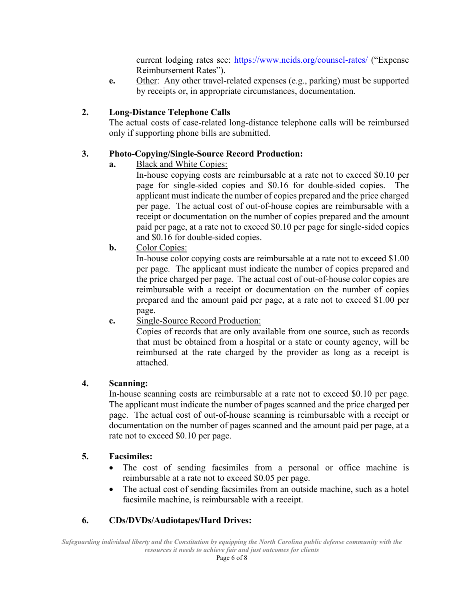current lodging rates see:<https://www.ncids.org/counsel-rates/>("Expense Reimbursement Rates").

**e.** Other: Any other travel-related expenses (e.g., parking) must be supported by receipts or, in appropriate circumstances, documentation.

## **2. Long-Distance Telephone Calls**

The actual costs of case-related long-distance telephone calls will be reimbursed only if supporting phone bills are submitted.

## **3. Photo-Copying/Single-Source Record Production:**

**a.** Black and White Copies:

In-house copying costs are reimbursable at a rate not to exceed \$0.10 per page for single-sided copies and \$0.16 for double-sided copies. The applicant must indicate the number of copies prepared and the price charged per page. The actual cost of out-of-house copies are reimbursable with a receipt or documentation on the number of copies prepared and the amount paid per page, at a rate not to exceed \$0.10 per page for single-sided copies and \$0.16 for double-sided copies.

**b.** Color Copies:

In-house color copying costs are reimbursable at a rate not to exceed \$1.00 per page. The applicant must indicate the number of copies prepared and the price charged per page. The actual cost of out-of-house color copies are reimbursable with a receipt or documentation on the number of copies prepared and the amount paid per page, at a rate not to exceed \$1.00 per page.

 **c.** Single-Source Record Production:

Copies of records that are only available from one source, such as records that must be obtained from a hospital or a state or county agency, will be reimbursed at the rate charged by the provider as long as a receipt is attached.

## **4. Scanning:**

In-house scanning costs are reimbursable at a rate not to exceed \$0.10 per page. The applicant must indicate the number of pages scanned and the price charged per page. The actual cost of out-of-house scanning is reimbursable with a receipt or documentation on the number of pages scanned and the amount paid per page, at a rate not to exceed \$0.10 per page.

#### **5. Facsimiles:**

- The cost of sending facsimiles from a personal or office machine is reimbursable at a rate not to exceed \$0.05 per page.
- The actual cost of sending facsimiles from an outside machine, such as a hotel facsimile machine, is reimbursable with a receipt.

# **6. CDs/DVDs/Audiotapes/Hard Drives:**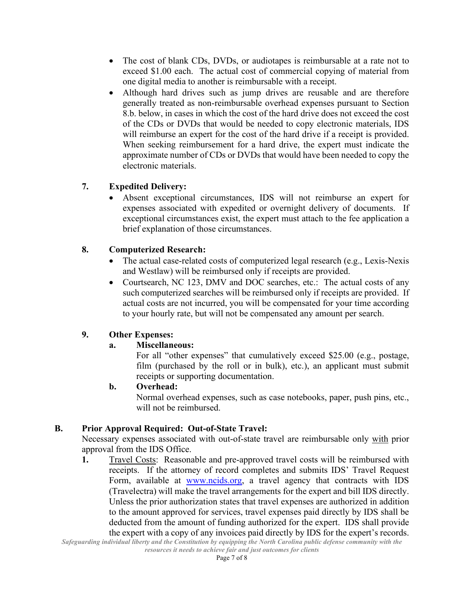- The cost of blank CDs, DVDs, or audiotapes is reimbursable at a rate not to exceed \$1.00 each. The actual cost of commercial copying of material from one digital media to another is reimbursable with a receipt.
- Although hard drives such as jump drives are reusable and are therefore generally treated as non-reimbursable overhead expenses pursuant to Section 8.b. below, in cases in which the cost of the hard drive does not exceed the cost of the CDs or DVDs that would be needed to copy electronic materials, IDS will reimburse an expert for the cost of the hard drive if a receipt is provided. When seeking reimbursement for a hard drive, the expert must indicate the approximate number of CDs or DVDs that would have been needed to copy the electronic materials.

## **7. Expedited Delivery:**

• Absent exceptional circumstances, IDS will not reimburse an expert for expenses associated with expedited or overnight delivery of documents. If exceptional circumstances exist, the expert must attach to the fee application a brief explanation of those circumstances.

## **8. Computerized Research:**

- The actual case-related costs of computerized legal research (e.g., Lexis-Nexis and Westlaw) will be reimbursed only if receipts are provided.
- Courtsearch, NC 123, DMV and DOC searches, etc.: The actual costs of any such computerized searches will be reimbursed only if receipts are provided. If actual costs are not incurred, you will be compensated for your time according to your hourly rate, but will not be compensated any amount per search.

# **9. Other Expenses:**

## **a. Miscellaneous:**

For all "other expenses" that cumulatively exceed \$25.00 (e.g., postage, film (purchased by the roll or in bulk), etc.), an applicant must submit receipts or supporting documentation.

#### **b. Overhead:**

Normal overhead expenses, such as case notebooks, paper, push pins, etc., will not be reimbursed.

## **B. Prior Approval Required: Out-of-State Travel:**

Necessary expenses associated with out-of-state travel are reimbursable only with prior approval from the IDS Office.

**1.** Travel Costs: Reasonable and pre-approved travel costs will be reimbursed with receipts. If the attorney of record completes and submits IDS' Travel Request Form, available at [www.ncids.org,](http://www.ncids.org/) a travel agency that contracts with IDS (Travelectra) will make the travel arrangements for the expert and bill IDS directly. Unless the prior authorization states that travel expenses are authorized in addition to the amount approved for services, travel expenses paid directly by IDS shall be deducted from the amount of funding authorized for the expert. IDS shall provide the expert with a copy of any invoices paid directly by IDS for the expert's records.